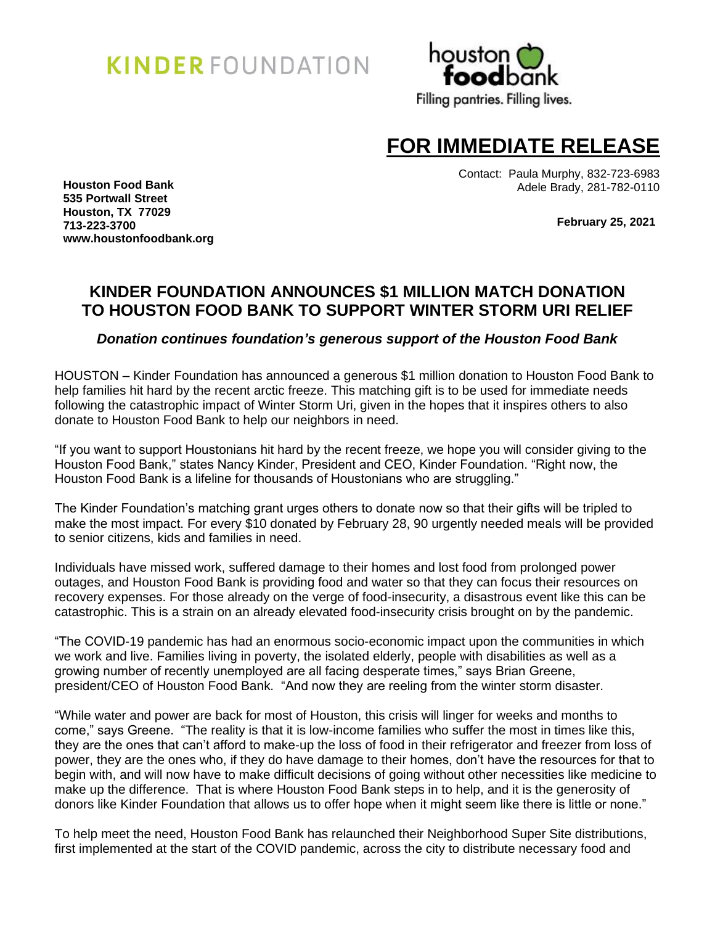# **KINDER** FOUNDATION



## **FOR IMMEDIATE RELEASE**

Contact: Paula Murphy, 832-723-6983 Adele Brady, 281-782-0110

**Houston Food Bank 535 Portwall Street Houston, TX 77029 713-223-3700 [www.houstonfoodbank.org](http://www.houstonfoodbank.org/)**

 **February 25, 2021**

## **KINDER FOUNDATION ANNOUNCES \$1 MILLION MATCH DONATION TO HOUSTON FOOD BANK TO SUPPORT WINTER STORM URI RELIEF**

*Donation continues foundation's generous support of the Houston Food Bank*

HOUSTON – Kinder Foundation has announced a generous \$1 million donation to Houston Food Bank to help families hit hard by the recent arctic freeze. This matching gift is to be used for immediate needs following the catastrophic impact of Winter Storm Uri, given in the hopes that it inspires others to also donate to Houston Food Bank to help our neighbors in need.

"If you want to support Houstonians hit hard by the recent freeze, we hope you will consider giving to the Houston Food Bank," states Nancy Kinder, President and CEO, Kinder Foundation. "Right now, the Houston Food Bank is a lifeline for thousands of Houstonians who are struggling."

The Kinder Foundation's matching grant urges others to donate now so that their gifts will be tripled to make the most impact. For every \$10 donated by February 28, 90 urgently needed meals will be provided to senior citizens, kids and families in need.

Individuals have missed work, suffered damage to their homes and lost food from prolonged power outages, and Houston Food Bank is providing food and water so that they can focus their resources on recovery expenses. For those already on the verge of food-insecurity, a disastrous event like this can be catastrophic. This is a strain on an already elevated food-insecurity crisis brought on by the pandemic.

"The COVID-19 pandemic has had an enormous socio-economic impact upon the communities in which we work and live. Families living in poverty, the isolated elderly, people with disabilities as well as a growing number of recently unemployed are all facing desperate times," says Brian Greene, president/CEO of Houston Food Bank. "And now they are reeling from the winter storm disaster.

"While water and power are back for most of Houston, this crisis will linger for weeks and months to come," says Greene. "The reality is that it is low-income families who suffer the most in times like this, they are the ones that can't afford to make-up the loss of food in their refrigerator and freezer from loss of power, they are the ones who, if they do have damage to their homes, don't have the resources for that to begin with, and will now have to make difficult decisions of going without other necessities like medicine to make up the difference. That is where Houston Food Bank steps in to help, and it is the generosity of donors like Kinder Foundation that allows us to offer hope when it might seem like there is little or none."

To help meet the need, Houston Food Bank has relaunched their Neighborhood Super Site distributions, first implemented at the start of the COVID pandemic, across the city to distribute necessary food and